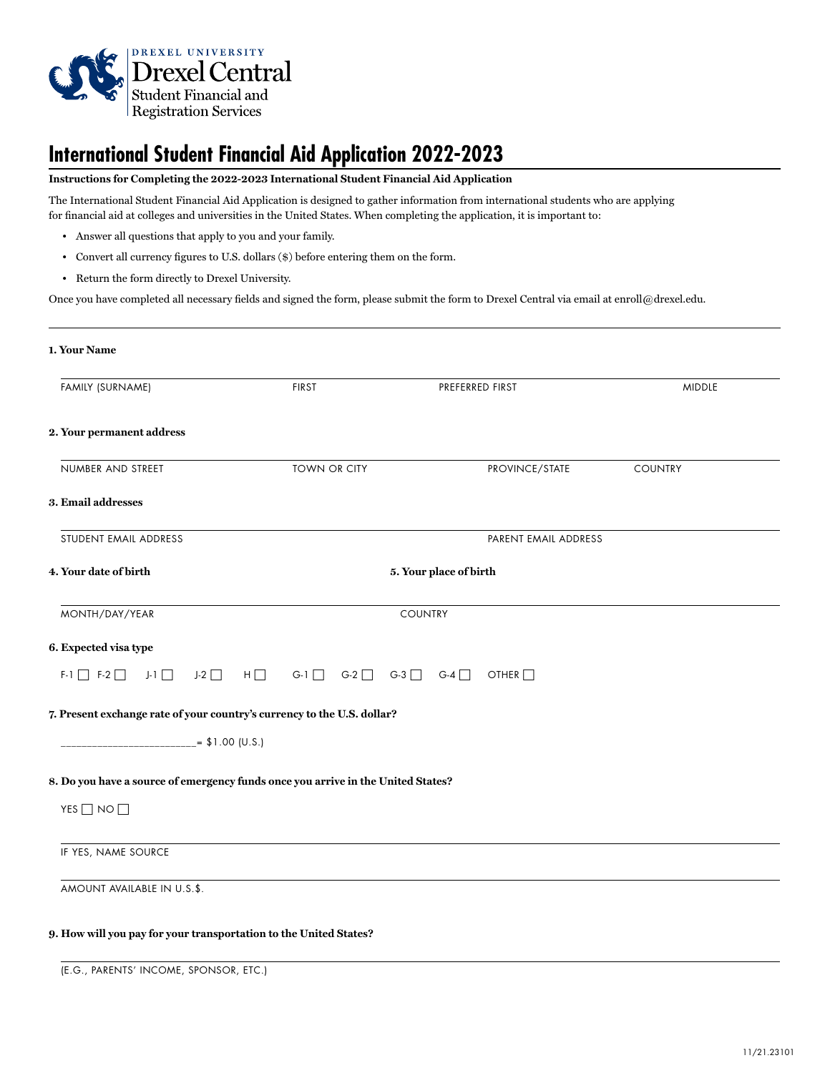

# **International Student Financial Aid Application 2022-2023**

## **Instructions for Completing the 2022-2023 International Student Financial Aid Application**

The International Student Financial Aid Application is designed to gather information from international students who are applying for financial aid at colleges and universities in the United States. When completing the application, it is important to:

- Answer all questions that apply to you and your family.
- Convert all currency figures to U.S. dollars (\$) before entering them on the form.
- Return the form directly to Drexel University.

Once you have completed all necessary fields and signed the form, please submit the form to Drexel Central via email at enroll@drexel.edu.

| 1. Your Name                             |                                                                                  |                         |                      |                |
|------------------------------------------|----------------------------------------------------------------------------------|-------------------------|----------------------|----------------|
| FAMILY (SURNAME)                         | <b>FIRST</b>                                                                     | PREFERRED FIRST         |                      | <b>MIDDLE</b>  |
| 2. Your permanent address                |                                                                                  |                         |                      |                |
| NUMBER AND STREET                        | <b>TOWN OR CITY</b>                                                              |                         | PROVINCE/STATE       | <b>COUNTRY</b> |
| 3. Email addresses                       |                                                                                  |                         |                      |                |
| STUDENT EMAIL ADDRESS                    |                                                                                  |                         | PARENT EMAIL ADDRESS |                |
| 4. Your date of birth                    |                                                                                  | 5. Your place of birth  |                      |                |
| MONTH/DAY/YEAR                           |                                                                                  | <b>COUNTRY</b>          |                      |                |
| 6. Expected visa type                    |                                                                                  |                         |                      |                |
| $J-2$<br>$F-1$ $F-2$ $T$<br>$J-1$ $\Box$ | $H \Box$<br>$G-1$ $\Box$                                                         | $G-2$ $G-3$ $G-4$ $G-4$ | OTHER                |                |
|                                          | 7. Present exchange rate of your country's currency to the U.S. dollar?          |                         |                      |                |
|                                          | $= $1.00$ (U.S.)                                                                 |                         |                      |                |
|                                          | 8. Do you have a source of emergency funds once you arrive in the United States? |                         |                      |                |
| YES $\Box$ NO $\Box$                     |                                                                                  |                         |                      |                |
| IF YES, NAME SOURCE                      |                                                                                  |                         |                      |                |
| AMOUNT AVAILABLE IN U.S.\$.              |                                                                                  |                         |                      |                |
|                                          | 9. How will you pay for your transportation to the United States?                |                         |                      |                |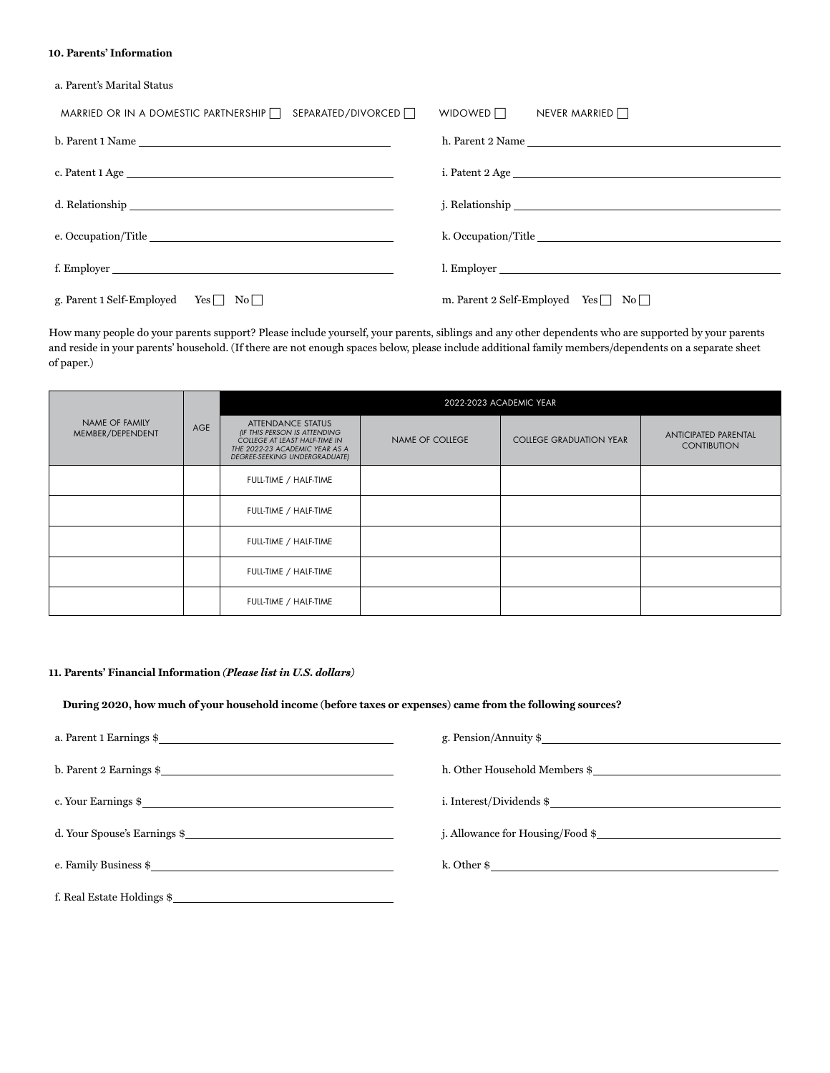#### **10. Parents' Information**

a. Parent's Marital Status

| SEPARATED/DIVORCED □<br>MARRIED OR IN A DOMESTIC PARTNERSHIP $\Box$ | WIDOWED $\Box$<br>NEVER MARRIED $\Box$         |
|---------------------------------------------------------------------|------------------------------------------------|
| $b.$ Parent 1 Name $\_\_$                                           |                                                |
|                                                                     |                                                |
|                                                                     |                                                |
|                                                                     |                                                |
|                                                                     |                                                |
|                                                                     | l. Employer                                    |
| g. Parent 1 Self-Employed Yes<br>$\rm No$                           | m. Parent 2 Self-Employed Yes $\Box$ No $\Box$ |

How many people do your parents support? Please include yourself, your parents, siblings and any other dependents who are supported by your parents and reside in your parents' household. (If there are not enough spaces below, please include additional family members/dependents on a separate sheet of paper.)

|                                    | AGE | 2022-2023 ACADEMIC YEAR                                                                                                                               |                 |                                |                                                   |
|------------------------------------|-----|-------------------------------------------------------------------------------------------------------------------------------------------------------|-----------------|--------------------------------|---------------------------------------------------|
| NAME OF FAMILY<br>MEMBER/DEPENDENT |     | ATTENDANCE STATUS<br>(IF THIS PERSON IS ATTENDING<br>COLLEGE AT LEAST HALF-TIME IN<br>THE 2022-23 ACADEMIC YEAR AS A<br>DEGREE-SEEKING UNDERGRADUATE) | NAME OF COLLEGE | <b>COLLEGE GRADUATION YEAR</b> | <b>ANTICIPATED PARENTAL</b><br><b>CONTIBUTION</b> |
|                                    |     | FULL-TIME / HALF-TIME                                                                                                                                 |                 |                                |                                                   |
|                                    |     | FULL-TIME / HALF-TIME                                                                                                                                 |                 |                                |                                                   |
|                                    |     | FULL-TIME / HALF-TIME                                                                                                                                 |                 |                                |                                                   |
|                                    |     | FULL-TIME / HALF-TIME                                                                                                                                 |                 |                                |                                                   |
|                                    |     | FULL-TIME / HALF-TIME                                                                                                                                 |                 |                                |                                                   |

## **11. Parents' Financial Information** *(Please list in U.S. dollars)*

**During 2020, how much of your household income (before taxes or expenses) came from the following sources?**

| a. Parent 1 Earnings $\frac{1}{2}$   | g. Pension/Annuity $\$           |
|--------------------------------------|----------------------------------|
| $b.$ Parent 2 Earnings $\frac{c}{c}$ | h. Other Household Members \$    |
| c. Your Earnings \$                  |                                  |
| d. Your Spouse's Earnings \$         | j. Allowance for Housing/Food \$ |
| e. Family Business \$                | k. Other $\frac{1}{2}$           |
| f. Real Estate Holdings \$           |                                  |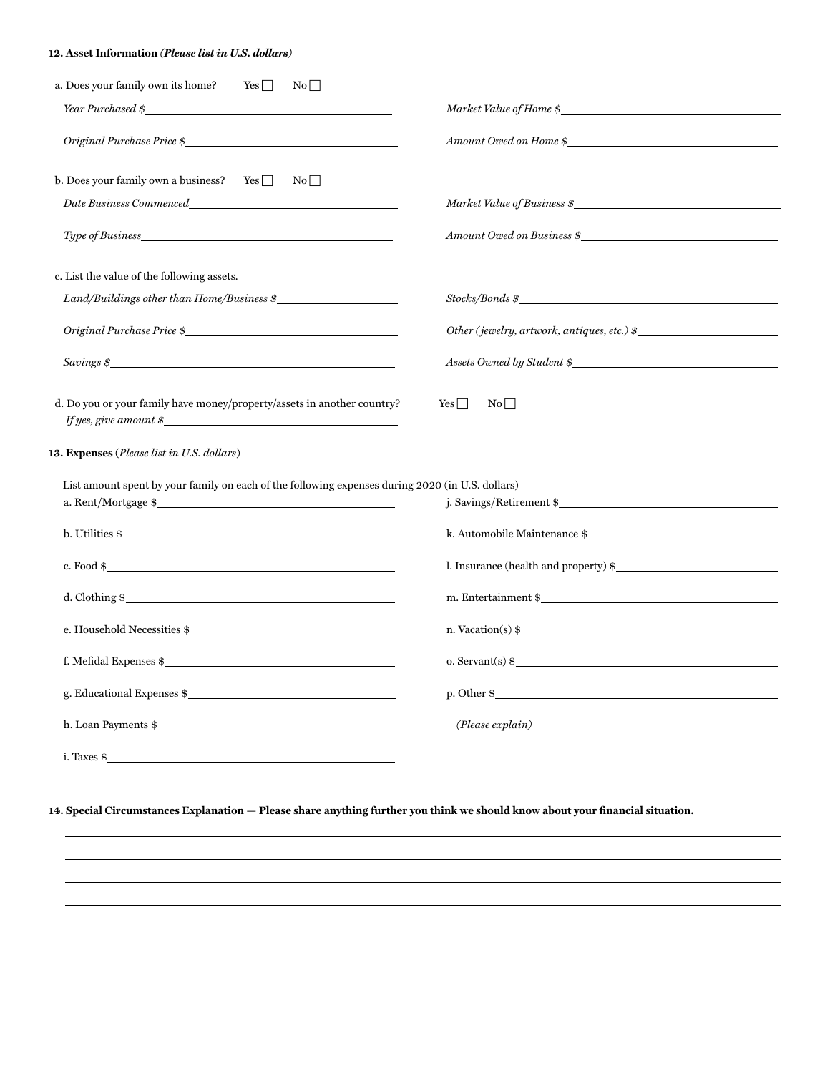# **12. Asset Information** *(Please list in U.S. dollars)*

| a. Does your family own its home?<br>$Yes \Box$<br>No                                                  |                                                                                                                                                                                                                                                                                                                   |
|--------------------------------------------------------------------------------------------------------|-------------------------------------------------------------------------------------------------------------------------------------------------------------------------------------------------------------------------------------------------------------------------------------------------------------------|
| Year Purchased \$                                                                                      | Market Value of Home \$                                                                                                                                                                                                                                                                                           |
| Original Purchase Price \$                                                                             | Amount Owed on Home \$                                                                                                                                                                                                                                                                                            |
| b. Does your family own a business? Yes $\Box$<br>$\mathrm{No} \lceil  $                               |                                                                                                                                                                                                                                                                                                                   |
| Date Business Commenced expansion of the Business Commenced                                            | Market Value of Business \$                                                                                                                                                                                                                                                                                       |
|                                                                                                        | Amount Owed on Business \$                                                                                                                                                                                                                                                                                        |
| c. List the value of the following assets.                                                             |                                                                                                                                                                                                                                                                                                                   |
| $Land/Buildings$ other than $Home/Business$ $\frac{\epsilon}{2}$                                       | $Stocks/Bonds \$                                                                                                                                                                                                                                                                                                  |
| Original Purchase Price \$                                                                             | Other (jewelry, artwork, antiques, etc.) $\oint$                                                                                                                                                                                                                                                                  |
|                                                                                                        | Assets Owned by Student \$                                                                                                                                                                                                                                                                                        |
| d. Do you or your family have money/property/assets in another country?<br>If yes, give amount $\oint$ | $Yes$ $\Box$<br>$\rm No$                                                                                                                                                                                                                                                                                          |
| 13. Expenses (Please list in U.S. dollars)                                                             |                                                                                                                                                                                                                                                                                                                   |
| List amount spent by your family on each of the following expenses during 2020 (in U.S. dollars)       |                                                                                                                                                                                                                                                                                                                   |
| a. Rent/Mortgage \$                                                                                    | j. Savings/Retirement \$                                                                                                                                                                                                                                                                                          |
| b. Utilities \$                                                                                        | k. Automobile Maintenance \$                                                                                                                                                                                                                                                                                      |
| c. Food \$                                                                                             | l. Insurance (health and property) \$                                                                                                                                                                                                                                                                             |
| d. Clothing $\frac{1}{2}$                                                                              |                                                                                                                                                                                                                                                                                                                   |
| e. Household Necessities $\frac{1}{2}$                                                                 | n. Vacation(s) $\frac{1}{2}$                                                                                                                                                                                                                                                                                      |
| f. Mefidal Expenses $\frac{1}{2}$                                                                      | $o.$ Servant(s) $\frac{1}{2}$ $\frac{1}{2}$ $\frac{1}{2}$ $\frac{1}{2}$ $\frac{1}{2}$ $\frac{1}{2}$ $\frac{1}{2}$ $\frac{1}{2}$ $\frac{1}{2}$ $\frac{1}{2}$ $\frac{1}{2}$ $\frac{1}{2}$ $\frac{1}{2}$ $\frac{1}{2}$ $\frac{1}{2}$ $\frac{1}{2}$ $\frac{1}{2}$ $\frac{1}{2}$ $\frac{1}{2}$ $\frac{1}{2}$ $\frac{1$ |
| g. Educational Expenses $\frac{1}{2}$                                                                  |                                                                                                                                                                                                                                                                                                                   |
|                                                                                                        | $(Please \ explain)$                                                                                                                                                                                                                                                                                              |
| i. Taxes \$                                                                                            |                                                                                                                                                                                                                                                                                                                   |

**14. Special Circumstances Explanation — Please share anything further you think we should know about your financial situation.**